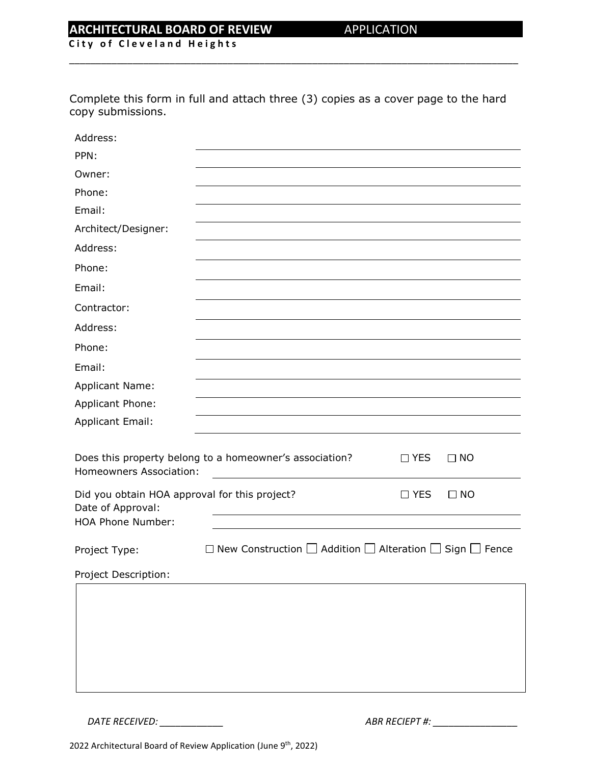### **ARCHITECTURAL BOARD OF REVIEW APPLICATION**

**City of Cleveland Heights** 

Complete this form in full and attach three (3) copies as a cover page to the hard copy submissions.

\_\_\_\_\_\_\_\_\_\_\_\_\_\_\_\_\_\_\_\_\_\_\_\_\_\_\_\_\_\_\_\_\_\_\_\_\_\_\_\_\_\_\_\_\_\_\_\_\_\_\_\_\_\_\_\_\_\_\_\_\_\_\_\_\_\_\_\_\_\_\_\_\_\_\_\_\_\_\_\_\_\_\_\_\_

| Address:                                                                                                      |                                                                                    |            |           |
|---------------------------------------------------------------------------------------------------------------|------------------------------------------------------------------------------------|------------|-----------|
| PPN:                                                                                                          |                                                                                    |            |           |
| Owner:                                                                                                        |                                                                                    |            |           |
| Phone:                                                                                                        |                                                                                    |            |           |
| Email:                                                                                                        |                                                                                    |            |           |
| Architect/Designer:                                                                                           |                                                                                    |            |           |
| Address:                                                                                                      |                                                                                    |            |           |
| Phone:                                                                                                        |                                                                                    |            |           |
| Email:                                                                                                        |                                                                                    |            |           |
| Contractor:                                                                                                   |                                                                                    |            |           |
| Address:                                                                                                      |                                                                                    |            |           |
| Phone:                                                                                                        |                                                                                    |            |           |
| Email:                                                                                                        |                                                                                    |            |           |
| <b>Applicant Name:</b>                                                                                        |                                                                                    |            |           |
| Applicant Phone:                                                                                              |                                                                                    |            |           |
| <b>Applicant Email:</b>                                                                                       |                                                                                    |            |           |
| Does this property belong to a homeowner's association?<br>$\Box$ YES<br>$\Box$ NO<br>Homeowners Association: |                                                                                    |            |           |
| Did you obtain HOA approval for this project?<br>Date of Approval:<br><b>HOA Phone Number:</b>                |                                                                                    | $\Box$ YES | $\Box$ NO |
| Project Type:                                                                                                 | $\Box$ New Construction $\Box$ Addition $\Box$ Alteration $\Box$ Sign $\Box$ Fence |            |           |
| Project Description:                                                                                          |                                                                                    |            |           |
|                                                                                                               |                                                                                    |            |           |

*DATE RECEIVED: \_\_\_\_\_\_\_\_\_\_\_\_ ABR RECIEPT #: \_\_\_\_\_\_\_\_\_\_\_\_\_\_\_\_*

2022 Architectural Board of Review Application (June 9<sup>th</sup>, 2022)